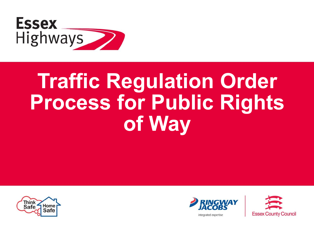

# **Traffic Regulation Order Process for Public Rights of Way**





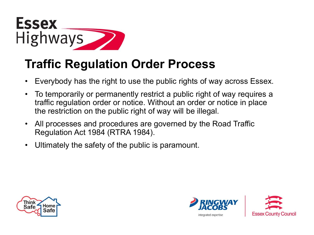

#### **Traffic Regulation Order Process**

- Everybody has the right to use the public rights of way across Essex.
- To temporarily or permanently restrict a public right of way requires a traffic regulation order or notice. Without an order or notice in place the restriction on the public right of way will be illegal.
- All processes and procedures are governed by the Road Traffic Regulation Act 1984 (RTRA 1984).
- Ultimately the safety of the public is paramount.





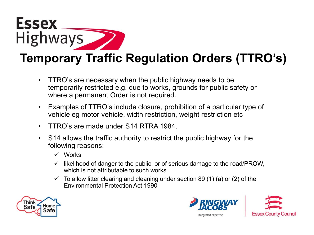

- TTRO's are necessary when the public highway needs to be temporarily restricted e.g. due to works, grounds for public safety or where a permanent Order is not required.
- Examples of TTRO's include closure, prohibition of a particular type of vehicle eg motor vehicle, width restriction, weight restriction etc
- TTRO's are made under S14 RTRA 1984.
- S14 allows the traffic authority to restrict the public highway for the following reasons:
	- Works
	- $\checkmark$  likelihood of danger to the public, or of serious damage to the road/PROW, which is not attributable to such works
	- $\checkmark$  To allow litter clearing and cleaning under section 89 (1) (a) or (2) of the Environmental Protection Act 1990





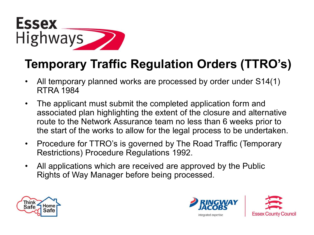

#### **Temporary Traffic Regulation Orders (TTRO's)**

- All temporary planned works are processed by order under S14(1) RTRA 1984
- The applicant must submit the completed application form and associated plan highlighting the extent of the closure and alternative route to the Network Assurance team no less than 6 weeks prior to the start of the works to allow for the legal process to be undertaken.
- Procedure for TTRO's is governed by The Road Traffic (Temporary Restrictions) Procedure Regulations 1992.
- All applications which are received are approved by the Public Rights of Way Manager before being processed.



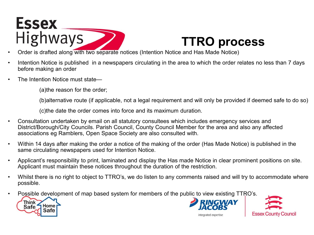

## **TTRO process**

- Order is drafted along with two separate notices (Intention Notice and Has Made Notice)
- Intention Notice is published in a newspapers circulating in the area to which the order relates no less than 7 days before making an order
- The Intention Notice must state—

(a)the reason for the order;

(b)alternative route (if applicable, not a legal requirement and will only be provided if deemed safe to do so)

(c)the date the order comes into force and its maximum duration.

- Consultation undertaken by email on all statutory consultees which includes emergency services and District/Borough/City Councils. Parish Council, County Council Member for the area and also any affected associations eg Ramblers, Open Space Society are also consulted with.
- Within 14 days after making the order a notice of the making of the order (Has Made Notice) is published in the same circulating newspapers used for Intention Notice.
- Applicant's responsibility to print, laminated and display the Has made Notice in clear prominent positions on site. Applicant must maintain these notices throughout the duration of the restriction.
- Whilst there is no right to object to TTRO's, we do listen to any comments raised and will try to accommodate where possible.
- Possible development of map based system for members of the public to view existing TTRO's.







integrated expertise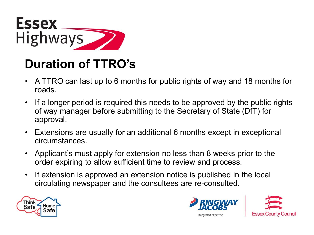

### **Duration of TTRO's**

- A TTRO can last up to 6 months for public rights of way and 18 months for roads.
- If a longer period is required this needs to be approved by the public rights of way manager before submitting to the Secretary of State (DfT) for approval.
- Extensions are usually for an additional 6 months except in exceptional circumstances.
- Applicant's must apply for extension no less than 8 weeks prior to the order expiring to allow sufficient time to review and process.
- If extension is approved an extension notice is published in the local circulating newspaper and the consultees are re-consulted.





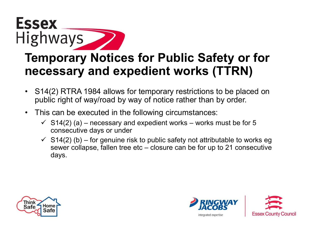

- S14(2) RTRA 1984 allows for temporary restrictions to be placed on public right of way/road by way of notice rather than by order.
- This can be executed in the following circumstances:
	- $\checkmark$  S14(2) (a) necessary and expedient works works must be for 5 consecutive days or under
	- $\checkmark$  S14(2) (b) for genuine risk to public safety not attributable to works eg sewer collapse, fallen tree etc – closure can be for up to 21 consecutive days.



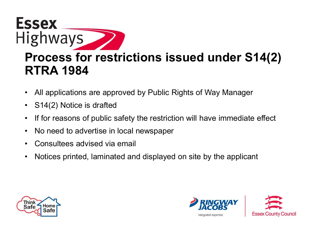

- All applications are approved by Public Rights of Way Manager
- S14(2) Notice is drafted
- If for reasons of public safety the restriction will have immediate effect
- No need to advertise in local newspaper
- Consultees advised via email
- Notices printed, laminated and displayed on site by the applicant



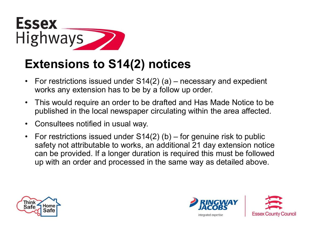

#### **Extensions to S14(2) notices**

- For restrictions issued under S14(2) (a) necessary and expedient works any extension has to be by a follow up order.
- This would require an order to be drafted and Has Made Notice to be published in the local newspaper circulating within the area affected.
- Consultees notified in usual way.
- For restrictions issued under  $S14(2)$  (b) for genuine risk to public safety not attributable to works, an additional 21 day extension notice can be provided. If a longer duration is required this must be followed up with an order and processed in the same way as detailed above.



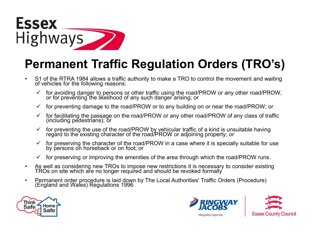

#### **Permanent Traffic Regulation Orders (TRO's)**

- S1 of the RTRA 1984 allows a traffic authority to make a TRO to control the movement and waiting of vehicles for the following reasons:
	- for avoiding danger to persons or other traffic using the road/PROW or any other road/PROW, or for preventing the likelihood of any such danger arising; or
	- $\checkmark$  for preventing damage to the road/PROW or to any building on or near the road/PROW; or
	- $\checkmark$  for facilitating the passage on the road/PROW or any other road/PROW of any class of traffic (including pedestrians); or
	- $\checkmark$  for preventing the use of the road/PROW by vehicular traffic of a kind is unsuitable having regard to the existing character of the road/PROW or adjoining property; or
	- $\checkmark$  for preserving the character of the road/PROW in a case where it is specially suitable for use by persons on horseback or on foot; or
	- $\checkmark$  for preserving or improving the amenities of the area through which the road/PROW runs.
- As well as considering new TROs to impose new restrictions it is necessary to consider existing TROs on site which ar̃e no longer required and should be revoked formally
- Permanent order procedure is laid down by The Local Authorities' Traffic Orders (Procedure) (England and Wales) Regulations 1996





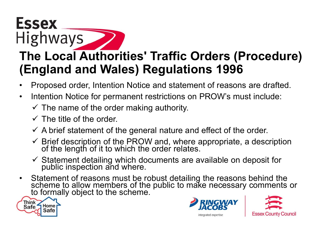# **Highways The Local Authorities' Traffic Orders (Procedure) (England and Wales) Regulations 1996**

- Proposed order, Intention Notice and statement of reasons are drafted.
- Intention Notice for permanent restrictions on PROW's must include:
	- $\checkmark$  The name of the order making authority.
	- $\checkmark$  The title of the order.
	- $\checkmark$  A brief statement of the general nature and effect of the order.
	- $\checkmark$  Brief description of the PROW and, where appropriate, a description of the length of it to which the order relates.
	- $\checkmark$  Statement detailing which documents are available on deposit for public inspection and where.
- Statement of reasons must be robust detailing the reasons behind the scheme to allow members of the public to make necessary comments or to formally object to the scheme.



**Essex** 



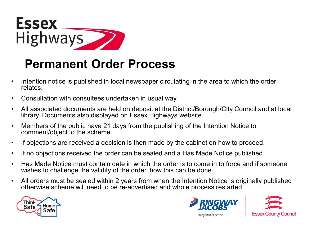

#### **Permanent Order Process**

- Intention notice is published in local newspaper circulating in the area to which the order relates.
- Consultation with consultees undertaken in usual way.
- All associated documents are held on deposit at the District/Borough/City Council and at local library. Documents also displayed on Essex Highways website.
- Members of the public have 21 days from the publishing of the Intention Notice to comment/object to the scheme.
- If objections are received a decision is then made by the cabinet on how to proceed.
- If no objections received the order can be sealed and a Has Made Notice published.
- Has Made Notice must contain date in which the order is to come in to force and if someone wishes to challenge the validity of the order, how this can be done.
- All orders must be sealed within 2 years from when the Intention Notice is originally published otherwise scheme will need to be re-advertised and whole process restarted.





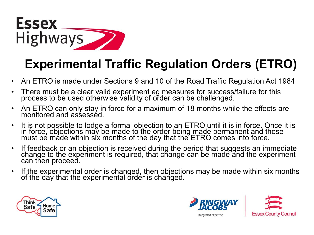

#### **Experimental Traffic Regulation Orders (ETRO)**

- An ETRO is made under Sections 9 and 10 of the Road Traffic Regulation Act 1984
- There must be a clear valid experiment eg measures for success/failure for this process to be used otherwise validity of order can be challenged.
- An ETRO can only stay in force for a maximum of 18 months while the effects are monitored and assessed.
- It is not possible to lodge a formal objection to an ETRO until it is in force. Once it is in force, objections may be made to the order being <u>made</u> permanent and these must be made within six months of the day that the ETRO comes into force.
- If feedback or an objection is received during the period that suggests an immediate change to the experiment is required, that change can be made and the experiment can then proceed.
- If the experimental order is changed, then objections may be made within six months of the day that the experimental ŏrder is changed.



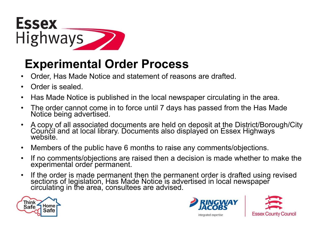

#### **Experimental Order Process**

- Order, Has Made Notice and statement of reasons are drafted.
- Order is sealed.
- Has Made Notice is published in the local newspaper circulating in the area.
- The order cannot come in to force until 7 days has passed from the Has Made Notice being advertised.
- A copy of all associated documents are held on deposit at the District/Borough/City<br>Council and at local library. Documents also displayed on Essex Highways website.
- Members of the public have 6 months to raise any comments/objections.
- If no comments/objections are raised then a decision is made whether to make the experimental order permanent.
- If the order is made permanent then the permanent order is drafted using revised sections of legislation, Has Made Notice is advertised in local newspaper circulating in the area, consultees are advised.